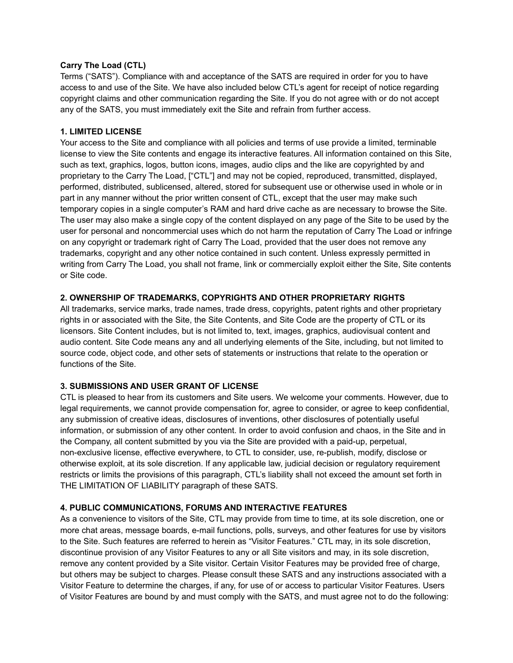#### **Carry The Load (CTL)**

Terms ("SATS"). Compliance with and acceptance of the SATS are required in order for you to have access to and use of the Site. We have also included below CTL's agent for receipt of notice regarding copyright claims and other communication regarding the Site. If you do not agree with or do not accept any of the SATS, you must immediately exit the Site and refrain from further access.

#### **1. LIMITED LICENSE**

Your access to the Site and compliance with all policies and terms of use provide a limited, terminable license to view the Site contents and engage its interactive features. All information contained on this Site, such as text, graphics, logos, button icons, images, audio clips and the like are copyrighted by and proprietary to the Carry The Load, ["CTL"] and may not be copied, reproduced, transmitted, displayed, performed, distributed, sublicensed, altered, stored for subsequent use or otherwise used in whole or in part in any manner without the prior written consent of CTL, except that the user may make such temporary copies in a single computer's RAM and hard drive cache as are necessary to browse the Site. The user may also make a single copy of the content displayed on any page of the Site to be used by the user for personal and noncommercial uses which do not harm the reputation of Carry The Load or infringe on any copyright or trademark right of Carry The Load, provided that the user does not remove any trademarks, copyright and any other notice contained in such content. Unless expressly permitted in writing from Carry The Load, you shall not frame, link or commercially exploit either the Site, Site contents or Site code.

### **2. OWNERSHIP OF TRADEMARKS, COPYRIGHTS AND OTHER PROPRIETARY RIGHTS**

All trademarks, service marks, trade names, trade dress, copyrights, patent rights and other proprietary rights in or associated with the Site, the Site Contents, and Site Code are the property of CTL or its licensors. Site Content includes, but is not limited to, text, images, graphics, audiovisual content and audio content. Site Code means any and all underlying elements of the Site, including, but not limited to source code, object code, and other sets of statements or instructions that relate to the operation or functions of the Site.

### **3. SUBMISSIONS AND USER GRANT OF LICENSE**

CTL is pleased to hear from its customers and Site users. We welcome your comments. However, due to legal requirements, we cannot provide compensation for, agree to consider, or agree to keep confidential, any submission of creative ideas, disclosures of inventions, other disclosures of potentially useful information, or submission of any other content. In order to avoid confusion and chaos, in the Site and in the Company, all content submitted by you via the Site are provided with a paid-up, perpetual, non-exclusive license, effective everywhere, to CTL to consider, use, re-publish, modify, disclose or otherwise exploit, at its sole discretion. If any applicable law, judicial decision or regulatory requirement restricts or limits the provisions of this paragraph, CTL's liability shall not exceed the amount set forth in THE LIMITATION OF LIABILITY paragraph of these SATS.

### **4. PUBLIC COMMUNICATIONS, FORUMS AND INTERACTIVE FEATURES**

As a convenience to visitors of the Site, CTL may provide from time to time, at its sole discretion, one or more chat areas, message boards, e-mail functions, polls, surveys, and other features for use by visitors to the Site. Such features are referred to herein as "Visitor Features." CTL may, in its sole discretion, discontinue provision of any Visitor Features to any or all Site visitors and may, in its sole discretion, remove any content provided by a Site visitor. Certain Visitor Features may be provided free of charge, but others may be subject to charges. Please consult these SATS and any instructions associated with a Visitor Feature to determine the charges, if any, for use of or access to particular Visitor Features. Users of Visitor Features are bound by and must comply with the SATS, and must agree not to do the following: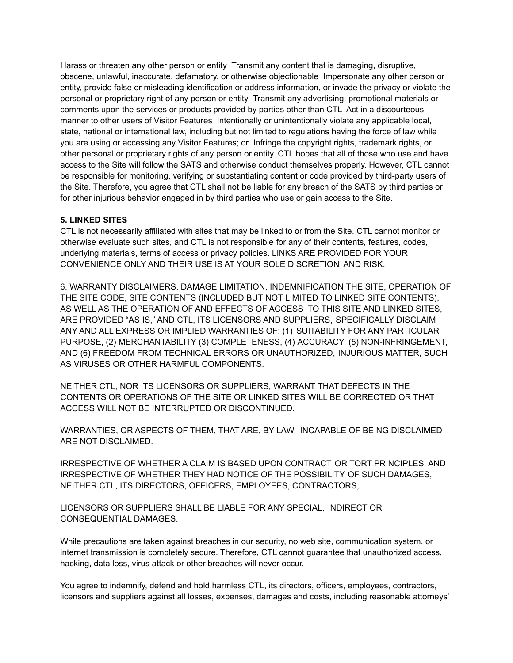Harass or threaten any other person or entity Transmit any content that is damaging, disruptive, obscene, unlawful, inaccurate, defamatory, or otherwise objectionable Impersonate any other person or entity, provide false or misleading identification or address information, or invade the privacy or violate the personal or proprietary right of any person or entity Transmit any advertising, promotional materials or comments upon the services or products provided by parties other than CTL Act in a discourteous manner to other users of Visitor Features Intentionally or unintentionally violate any applicable local, state, national or international law, including but not limited to regulations having the force of law while you are using or accessing any Visitor Features; or Infringe the copyright rights, trademark rights, or other personal or proprietary rights of any person or entity. CTL hopes that all of those who use and have access to the Site will follow the SATS and otherwise conduct themselves properly. However, CTL cannot be responsible for monitoring, verifying or substantiating content or code provided by third-party users of the Site. Therefore, you agree that CTL shall not be liable for any breach of the SATS by third parties or for other injurious behavior engaged in by third parties who use or gain access to the Site.

### **5. LINKED SITES**

CTL is not necessarily affiliated with sites that may be linked to or from the Site. CTL cannot monitor or otherwise evaluate such sites, and CTL is not responsible for any of their contents, features, codes, underlying materials, terms of access or privacy policies. LINKS ARE PROVIDED FOR YOUR CONVENIENCE ONLY AND THEIR USE IS AT YOUR SOLE DISCRETION AND RISK.

6. WARRANTY DISCLAIMERS, DAMAGE LIMITATION, INDEMNIFICATION THE SITE, OPERATION OF THE SITE CODE, SITE CONTENTS (INCLUDED BUT NOT LIMITED TO LINKED SITE CONTENTS), AS WELL AS THE OPERATION OF AND EFFECTS OF ACCESS TO THIS SITE AND LINKED SITES, ARE PROVIDED "AS IS," AND CTL, ITS LICENSORS AND SUPPLIERS, SPECIFICALLY DISCLAIM ANY AND ALL EXPRESS OR IMPLIED WARRANTIES OF: (1) SUITABILITY FOR ANY PARTICULAR PURPOSE, (2) MERCHANTABILITY (3) COMPLETENESS, (4) ACCURACY; (5) NON-INFRINGEMENT, AND (6) FREEDOM FROM TECHNICAL ERRORS OR UNAUTHORIZED, INJURIOUS MATTER, SUCH AS VIRUSES OR OTHER HARMFUL COMPONENTS.

NEITHER CTL, NOR ITS LICENSORS OR SUPPLIERS, WARRANT THAT DEFECTS IN THE CONTENTS OR OPERATIONS OF THE SITE OR LINKED SITES WILL BE CORRECTED OR THAT ACCESS WILL NOT BE INTERRUPTED OR DISCONTINUED.

WARRANTIES, OR ASPECTS OF THEM, THAT ARE, BY LAW, INCAPABLE OF BEING DISCLAIMED ARE NOT DISCLAIMED.

IRRESPECTIVE OF WHETHER A CLAIM IS BASED UPON CONTRACT OR TORT PRINCIPLES, AND IRRESPECTIVE OF WHETHER THEY HAD NOTICE OF THE POSSIBILITY OF SUCH DAMAGES, NEITHER CTL, ITS DIRECTORS, OFFICERS, EMPLOYEES, CONTRACTORS,

LICENSORS OR SUPPLIERS SHALL BE LIABLE FOR ANY SPECIAL, INDIRECT OR CONSEQUENTIAL DAMAGES.

While precautions are taken against breaches in our security, no web site, communication system, or internet transmission is completely secure. Therefore, CTL cannot guarantee that unauthorized access, hacking, data loss, virus attack or other breaches will never occur.

You agree to indemnify, defend and hold harmless CTL, its directors, officers, employees, contractors, licensors and suppliers against all losses, expenses, damages and costs, including reasonable attorneys'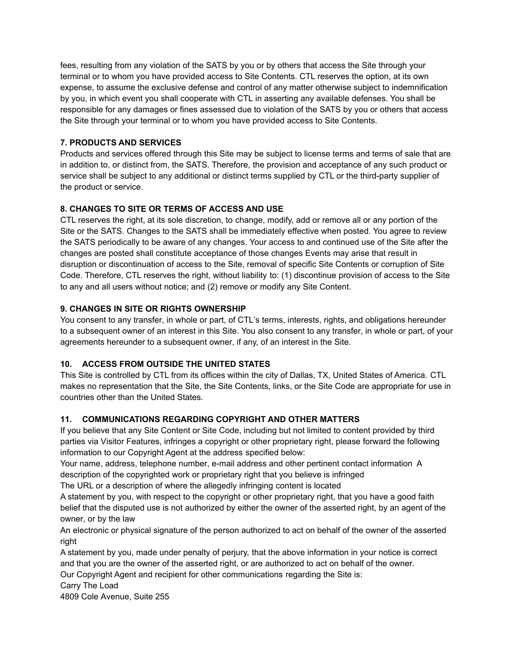fees, resulting from any violation of the SATS by you or by others that access the Site through your terminal or to whom you have provided access to Site Contents. CTL reserves the option, at its own expense, to assume the exclusive defense and control of any matter otherwise subject to indemnification by you, in which event you shall cooperate with CTL in asserting any available defenses. You shall be responsible for any damages or fines assessed due to violation of the SATS by you or others that access the Site through your terminal or to whom you have provided access to Site Contents.

## **7. PRODUCTS AND SERVICES**

Products and services offered through this Site may be subject to license terms and terms of sale that are in addition to, or distinct from, the SATS. Therefore, the provision and acceptance of any such product or service shall be subject to any additional or distinct terms supplied by CTL or the third-party supplier of the product or service.

### **8. CHANGES TO SITE OR TERMS OF ACCESS AND USE**

CTL reserves the right, at its sole discretion, to change, modify, add or remove all or any portion of the Site or the SATS. Changes to the SATS shall be immediately effective when posted. You agree to review the SATS periodically to be aware of any changes. Your access to and continued use of the Site after the changes are posted shall constitute acceptance of those changes Events may arise that result in disruption or discontinuation of access to the Site, removal of specific Site Contents or corruption of Site Code. Therefore, CTL reserves the right, without liability to: (1) discontinue provision of access to the Site to any and all users without notice; and (2) remove or modify any Site Content.

### **9. CHANGES IN SITE OR RIGHTS OWNERSHIP**

You consent to any transfer, in whole or part, of CTL's terms, interests, rights, and obligations hereunder to a subsequent owner of an interest in this Site. You also consent to any transfer, in whole or part, of your agreements hereunder to a subsequent owner, if any, of an interest in the Site.

# **10. ACCESS FROM OUTSIDE THE UNITED STATES**

This Site is controlled by CTL from its offices within the city of Dallas, TX, United States of America. CTL makes no representation that the Site, the Site Contents, links, or the Site Code are appropriate for use in countries other than the United States.

# **11. COMMUNICATIONS REGARDING COPYRIGHT AND OTHER MATTERS**

If you believe that any Site Content or Site Code, including but not limited to content provided by third parties via Visitor Features, infringes a copyright or other proprietary right, please forward the following information to our Copyright Agent at the address specified below:

Your name, address, telephone number, e-mail address and other pertinent contact information A description of the copyrighted work or proprietary right that you believe is infringed

The URL or a description of where the allegedly infringing content is located

A statement by you, with respect to the copyright or other proprietary right, that you have a good faith belief that the disputed use is not authorized by either the owner of the asserted right, by an agent of the owner, or by the law

An electronic or physical signature of the person authorized to act on behalf of the owner of the asserted right

A statement by you, made under penalty of perjury, that the above information in your notice is correct and that you are the owner of the asserted right, or are authorized to act on behalf of the owner.

Our Copyright Agent and recipient for other communications regarding the Site is:

Carry The Load

4809 Cole Avenue, Suite 255